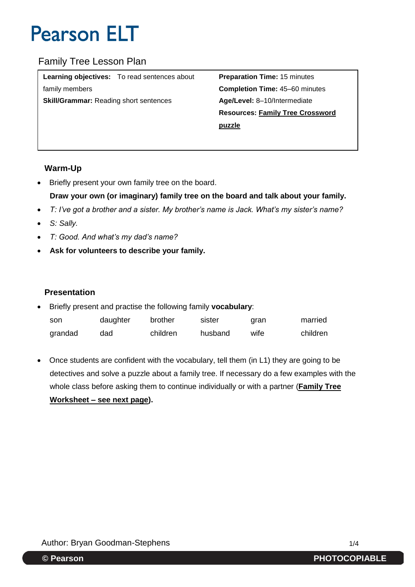## Family Tree Lesson Plan

| <b>Learning objectives:</b> To read sentences about | <b>Preparation Time: 15 minutes</b>     |
|-----------------------------------------------------|-----------------------------------------|
| family members                                      | <b>Completion Time: 45-60 minutes</b>   |
| <b>Skill/Grammar: Reading short sentences</b>       | Age/Level: 8-10/Intermediate            |
|                                                     | <b>Resources: Family Tree Crossword</b> |
|                                                     | puzzle                                  |
|                                                     |                                         |

### **Warm-Up**

• Briefly present your own family tree on the board.

## **Draw your own (or imaginary) family tree on the board and talk about your family.**

- *T: I've got a brother and a sister. My brother's name is Jack. What's my sister's name?*
- *S: Sally.*
- *T: Good. And what's my dad's name?*
- **Ask for volunteers to describe your family.**

### **Presentation**

- Briefly present and practise the following family **vocabulary**: son daughter brother sister gran married
	- grandad dad children husband wife children
- Once students are confident with the vocabulary, tell them (in L1) they are going to be detectives and solve a puzzle about a family tree. If necessary do a few examples with the whole class before asking them to continue individually or with a partner (**Family Tree Worksheet – see next page).**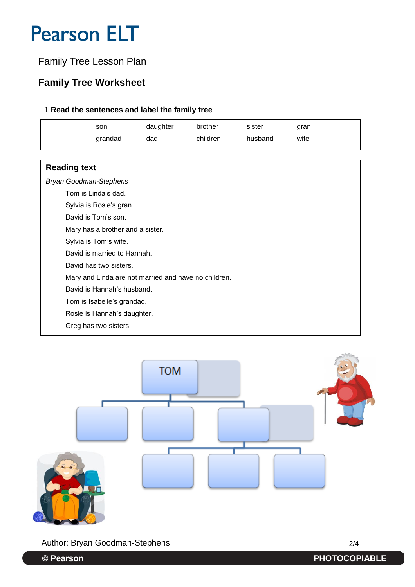## Family Tree Lesson Plan

## **Family Tree Worksheet**

### **1 Read the sentences and label the family tree**

|                                  | son                         | daughter | brother                                              | sister  | gran |  |
|----------------------------------|-----------------------------|----------|------------------------------------------------------|---------|------|--|
|                                  | grandad                     | dad      | children                                             | husband | wife |  |
|                                  |                             |          |                                                      |         |      |  |
| <b>Reading text</b>              |                             |          |                                                      |         |      |  |
| <b>Bryan Goodman-Stephens</b>    |                             |          |                                                      |         |      |  |
|                                  | Tom is Linda's dad.         |          |                                                      |         |      |  |
|                                  | Sylvia is Rosie's gran.     |          |                                                      |         |      |  |
| David is Tom's son.              |                             |          |                                                      |         |      |  |
| Mary has a brother and a sister. |                             |          |                                                      |         |      |  |
| Sylvia is Tom's wife.            |                             |          |                                                      |         |      |  |
| David is married to Hannah.      |                             |          |                                                      |         |      |  |
| David has two sisters.           |                             |          |                                                      |         |      |  |
|                                  |                             |          | Mary and Linda are not married and have no children. |         |      |  |
| David is Hannah's husband.       |                             |          |                                                      |         |      |  |
|                                  | Tom is Isabelle's grandad.  |          |                                                      |         |      |  |
|                                  | Rosie is Hannah's daughter. |          |                                                      |         |      |  |
|                                  | Greg has two sisters.       |          |                                                      |         |      |  |



Author: Bryan Goodman-Stephens 2/4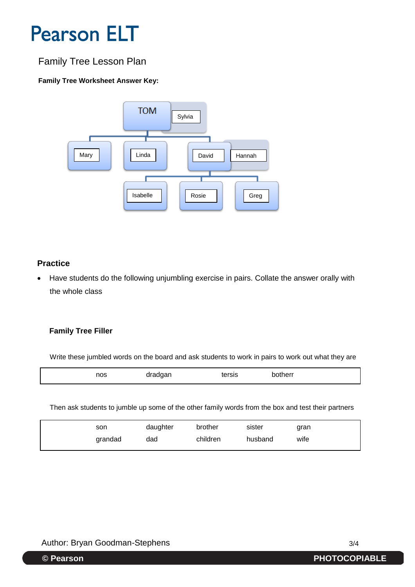## Family Tree Lesson Plan

### **Family Tree Worksheet Answer Key:**



### **Practice**

 Have students do the following unjumbling exercise in pairs. Collate the answer orally with the whole class

#### **Family Tree Filler**

Write these jumbled words on the board and ask students to work in pairs to work out what they are

| ≧rsis<br>$\sim$ $\sim$ $\sim$<br>متمد خان<br>nos<br>70<br>omer<br>$\sim$ $\sim$ $\sim$<br>$- - - - - -$<br>__<br>$\tilde{\phantom{a}}$ |
|----------------------------------------------------------------------------------------------------------------------------------------|
|----------------------------------------------------------------------------------------------------------------------------------------|

Then ask students to jumble up some of the other family words from the box and test their partners

| son     | daughter | brother  | sister  | gran |
|---------|----------|----------|---------|------|
| grandad | dad      | children | husband | wife |

### Author: Bryan Goodman-Stephens 3/4